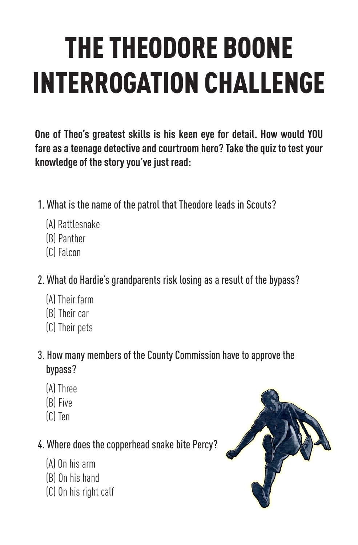# THE THEODORE BOONE INTERROGATION CHALLENGE

**One of Theo's greatest skills is his keen eye for detail. How would YOU fare as a teenage detective and courtroom hero? Take the quiz to test your knowledge of the story you've just read:**

- 1. What is the name of the patrol that Theodore leads in Scouts?
	- (A) Rattlesnake
	- (B) Panther
	- (C) Falcon
- 2. What do Hardie's grandparents risk losing as a result of the bypass?
	- (A) Their farm
	- (B) Their car
	- (C) Their pets
- 3. How many members of the County Commission have to approve the bypass?
	- (A) Three
	- (B) Five
	- (C) Ten

#### 4. Where does the copperhead snake bite Percy?

- (A) On his arm
- (B) On his hand
- (C) On his right calf

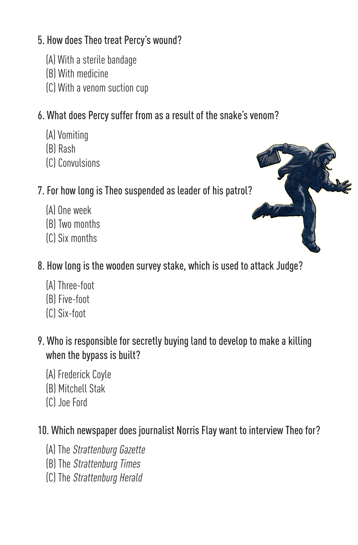#### 5. How does Theo treat Percy's wound?

- (A) With a sterile bandage
- (B) With medicine
- (C) With a venom suction cup
- 6. What does Percy suffer from as a result of the snake's venom?
	- (A) Vomiting
	- (B) Rash
	- (C) Convulsions

#### 7. For how long is Theo suspended as leader of his patrol?

- (A) One week
- (B) Two months
- (C) Six months
- 8. How long is the wooden survey stake, which is used to attack Judge?
	- (A) Three-foot
	- (B) Five-foot
	- (C) Six-foot
- 9. Who is responsible for secretly buying land to develop to make a killing when the bypass is built?
	- (A) Frederick Coyle
	- (B) Mitchell Stak
	- (C) Joe Ford

#### 10. Which newspaper does journalist Norris Flay want to interview Theo for?

- (A) The Strattenburg Gazette
- (B) The Strattenburg Times
- (C) The Strattenburg Herald